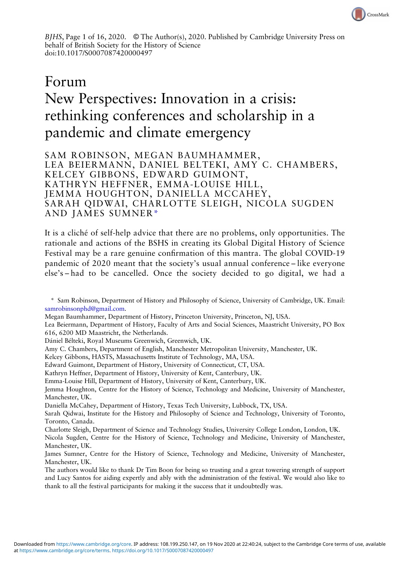

BJHS, Page 1 of 16, 2020.  $\circ$  The Author(s), 2020. Published by Cambridge University Press on behalf of British Society for the History of Science doi:10.1017/S0007087420000497

# Forum New Perspectives: Innovation in a crisis: rethinking conferences and scholarship in a pandemic and climate emergency

SAM ROBINSON, MEGAN BAUMHAMMER, LEA BEIERMANN, DANIEL BELTEKI, AMY C. CHAMBERS, KELCEY GIBBONS, EDWARD GUIMONT, KATHRYN HEFFNER, EMMA-LOUISE HILL, JEMMA HOUGHTON, DANIELLA MCCAHEY, SARAH QIDWAI, CHARLOTTE SLEIGH, NICOLA SUGDEN AND JAMES SUMNER\*

It is a cliché of self-help advice that there are no problems, only opportunities. The rationale and actions of the BSHS in creating its Global Digital History of Science Festival may be a rare genuine confirmation of this mantra. The global COVID-19 pandemic of 2020 meant that the society's usual annual conference – like everyone else's – had to be cancelled. Once the society decided to go digital, we had a

\* Sam Robinson, Department of History and Philosophy of Science, University of Cambridge, UK. Email: [samrobinsonphd@gmail.com](mailto:samrobinsonphd@gmail.com).

Lea Beiermann, Department of History, Faculty of Arts and Social Sciences, Maastricht University, PO Box 616, 6200 MD Maastricht, the Netherlands.

Dániel Bélteki, Royal Museums Greenwich, Greenwich, UK.

Amy C. Chambers, Department of English, Manchester Metropolitan University, Manchester, UK.

Kelcey Gibbons, HASTS, Massachusetts Institute of Technology, MA, USA.

Edward Guimont, Department of History, University of Connecticut, CT, USA.

Kathryn Heffner, Department of History, University of Kent, Canterbury, UK.

Emma-Louise Hill, Department of History, University of Kent, Canterbury, UK.

Jemma Houghton, Centre for the History of Science, Technology and Medicine, University of Manchester, Manchester, UK.

Daniella McCahey, Department of History, Texas Tech University, Lubbock, TX, USA.

Sarah Qidwai, Institute for the History and Philosophy of Science and Technology, University of Toronto, Toronto, Canada.

Charlotte Sleigh, Department of Science and Technology Studies, University College London, London, UK.

Nicola Sugden, Centre for the History of Science, Technology and Medicine, University of Manchester, Manchester, UK.

James Sumner, Centre for the History of Science, Technology and Medicine, University of Manchester, Manchester, UK.

The authors would like to thank Dr Tim Boon for being so trusting and a great towering strength of support and Lucy Santos for aiding expertly and ably with the administration of the festival. We would also like to thank to all the festival participants for making it the success that it undoubtedly was.

Megan Baumhammer, Department of History, Princeton University, Princeton, NJ, USA.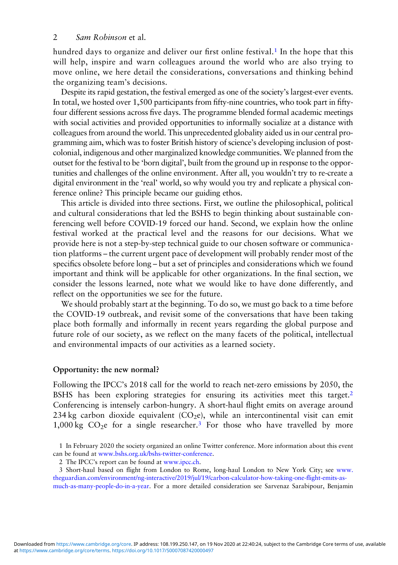#### 2 Sam Robinson et al.

hundred days to organize and deliver our first online festival.<sup>1</sup> In the hope that this will help, inspire and warn colleagues around the world who are also trying to move online, we here detail the considerations, conversations and thinking behind the organizing team's decisions.

Despite its rapid gestation, the festival emerged as one of the society's largest-ever events. In total, we hosted over 1,500 participants from fifty-nine countries, who took part in fiftyfour different sessions across five days. The programme blended formal academic meetings with social activities and provided opportunities to informally socialize at a distance with colleagues from around the world. This unprecedented globality aided us in our central programming aim, which was to foster British history of science's developing inclusion of postcolonial, indigenous and other marginalized knowledge communities. We planned from the outset for the festival to be 'born digital', built from the ground up in response to the opportunities and challenges of the online environment. After all, you wouldn't try to re-create a digital environment in the 'real' world, so why would you try and replicate a physical conference online? This principle became our guiding ethos.

This article is divided into three sections. First, we outline the philosophical, political and cultural considerations that led the BSHS to begin thinking about sustainable conferencing well before COVID-19 forced our hand. Second, we explain how the online festival worked at the practical level and the reasons for our decisions. What we provide here is not a step-by-step technical guide to our chosen software or communication platforms – the current urgent pace of development will probably render most of the specifics obsolete before long – but a set of principles and considerations which we found important and think will be applicable for other organizations. In the final section, we consider the lessons learned, note what we would like to have done differently, and reflect on the opportunities we see for the future.

We should probably start at the beginning. To do so, we must go back to a time before the COVID-19 outbreak, and revisit some of the conversations that have been taking place both formally and informally in recent years regarding the global purpose and future role of our society, as we reflect on the many facets of the political, intellectual and environmental impacts of our activities as a learned society.

### Opportunity: the new normal?

Following the IPCC's 2018 call for the world to reach net-zero emissions by 2050, the BSHS has been exploring strategies for ensuring its activities meet this target.<sup>2</sup> Conferencing is intensely carbon-hungry. A short-haul flight emits on average around 234 kg carbon dioxide equivalent  $(CO<sub>2</sub>e)$ , while an intercontinental visit can emit  $1,000 \text{ kg } CO<sub>2</sub>e$  for a single researcher.<sup>3</sup> For those who have travelled by more

<sup>1</sup> In February 2020 the society organized an online Twitter conference. More information about this event can be found at [www.bshs.org.uk/bshs-twitter-conference](https://www.bshs.org.uk/bshs-twitter-conference).

<sup>2</sup> The IPCC's report can be found at [www.ipcc.ch](https://www.ipcc.ch).

<sup>3</sup> Short-haul based on flight from London to Rome, long-haul London to New York City; see [www.](http://www.theguardian.com/environment/ng-interactive/2019/jul/19/carbon-calculator-how-taking-one-flight-emits-as-much-as-many-people-do-in-a-year) [theguardian.com/environment/ng-interactive/2019/jul/19/carbon-calculator-how-taking-one-](http://www.theguardian.com/environment/ng-interactive/2019/jul/19/carbon-calculator-how-taking-one-flight-emits-as-much-as-many-people-do-in-a-year)flight-emits-as[much-as-many-people-do-in-a-year.](http://www.theguardian.com/environment/ng-interactive/2019/jul/19/carbon-calculator-how-taking-one-flight-emits-as-much-as-many-people-do-in-a-year) For a more detailed consideration see Sarvenaz Sarabipour, Benjamin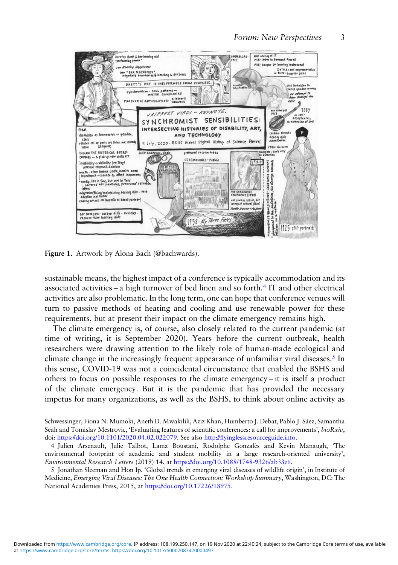

Figure 1. Artwork by Alona Bach (@bachwards).

sustainable means, the highest impact of a conference is typically accommodation and its associated activities – a high turnover of bed linen and so forth.<sup>4</sup> IT and other electrical activities are also problematic. In the long term, one can hope that conference venues will turn to passive methods of heating and cooling and use renewable power for these requirements, but at present their impact on the climate emergency remains high.

The climate emergency is, of course, also closely related to the current pandemic (at time of writing, it is September 2020). Years before the current outbreak, health researchers were drawing attention to the likely role of human-made ecological and climate change in the increasingly frequent appearance of unfamiliar viral diseases.<sup>5</sup> In this sense, COVID-19 was not a coincidental circumstance that enabled the BSHS and others to focus on possible responses to the climate emergency – it is itself a product of the climate emergency. But it is the pandemic that has provided the necessary impetus for many organizations, as well as the BSHS, to think about online activity as

Schwessinger, Fiona N. Mumoki, Aneth D. Mwakilili, Aziz Khan, Humberto J. Debat, Pablo J. Sáez, Samantha Seah and Tomislav Mestrovic, 'Evaluating features of scientific conferences: a call for improvements', bioRxiv, doi: <https://doi.org/10.1101/2020.04.02.022079>. See also [http://](http://flyinglessresourceguide.info)fl[yinglessresourceguide.info](http://flyinglessresourceguide.info).

4 Julien Arsenault, Julie Talbot, Lama Boustani, Rodolphe Gonzalès and Kevin Manaugh, 'The environmental footprint of academic and student mobility in a large research-oriented university', Environmental Research Letters (2019) 14, at [https://doi.org/10.1088/1748-9326/ab33e6.](https://doi.org/10.1088/1748-9326/ab33e6)

5 Jonathan Sleeman and Hon Ip, 'Global trends in emerging viral diseases of wildlife origin', in Institute of Medicine, Emerging Viral Diseases: The One Health Connection: Workshop Summary, Washington, DC: The National Academies Press, 2015, at <https://doi.org/10.17226/18975>.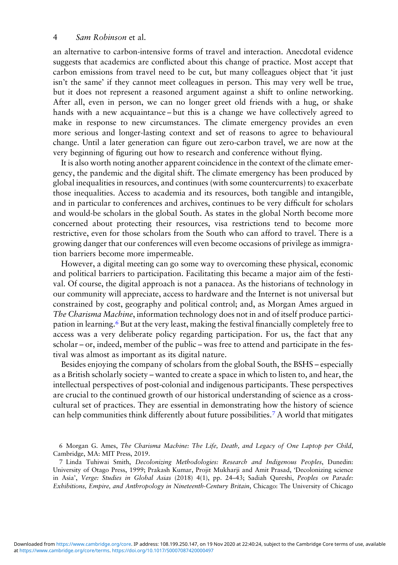an alternative to carbon-intensive forms of travel and interaction. Anecdotal evidence suggests that academics are conflicted about this change of practice. Most accept that carbon emissions from travel need to be cut, but many colleagues object that 'it just isn't the same' if they cannot meet colleagues in person. This may very well be true, but it does not represent a reasoned argument against a shift to online networking. After all, even in person, we can no longer greet old friends with a hug, or shake hands with a new acquaintance – but this is a change we have collectively agreed to make in response to new circumstances. The climate emergency provides an even more serious and longer-lasting context and set of reasons to agree to behavioural change. Until a later generation can figure out zero-carbon travel, we are now at the very beginning of figuring out how to research and conference without flying.

It is also worth noting another apparent coincidence in the context of the climate emergency, the pandemic and the digital shift. The climate emergency has been produced by global inequalities in resources, and continues (with some countercurrents) to exacerbate those inequalities. Access to academia and its resources, both tangible and intangible, and in particular to conferences and archives, continues to be very difficult for scholars and would-be scholars in the global South. As states in the global North become more concerned about protecting their resources, visa restrictions tend to become more restrictive, even for those scholars from the South who can afford to travel. There is a growing danger that our conferences will even become occasions of privilege as immigration barriers become more impermeable.

However, a digital meeting can go some way to overcoming these physical, economic and political barriers to participation. Facilitating this became a major aim of the festival. Of course, the digital approach is not a panacea. As the historians of technology in our community will appreciate, access to hardware and the Internet is not universal but constrained by cost, geography and political control; and, as Morgan Ames argued in The Charisma Machine, information technology does not in and of itself produce participation in learning.<sup>6</sup> But at the very least, making the festival financially completely free to access was a very deliberate policy regarding participation. For us, the fact that any scholar – or, indeed, member of the public – was free to attend and participate in the festival was almost as important as its digital nature.

Besides enjoying the company of scholars from the global South, the BSHS – especially as a British scholarly society – wanted to create a space in which to listen to, and hear, the intellectual perspectives of post-colonial and indigenous participants. These perspectives are crucial to the continued growth of our historical understanding of science as a crosscultural set of practices. They are essential in demonstrating how the history of science can help communities think differently about future possibilities.<sup>7</sup> A world that mitigates

7 Linda Tuhiwai Smith, Decolonizing Methodologies: Research and Indigenous Peoples, Dunedin: University of Otago Press, 1999; Prakash Kumar, Projit Mukharji and Amit Prasad, 'Decolonizing science in Asia', Verge: Studies in Global Asias (2018) 4(1), pp. 24-43; Sadiah Qureshi, Peoples on Parade: Exhibitions, Empire, and Anthropology in Nineteenth-Century Britain, Chicago: The University of Chicago

<sup>6</sup> Morgan G. Ames, The Charisma Machine: The Life, Death, and Legacy of One Laptop per Child, Cambridge, MA: MIT Press, 2019.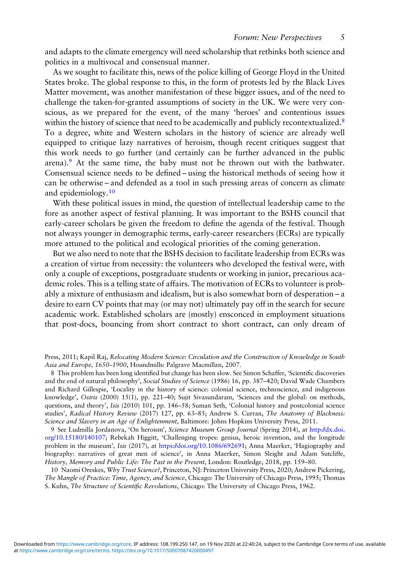and adapts to the climate emergency will need scholarship that rethinks both science and politics in a multivocal and consensual manner.

As we sought to facilitate this, news of the police killing of George Floyd in the United States broke. The global response to this, in the form of protests led by the Black Lives Matter movement, was another manifestation of these bigger issues, and of the need to challenge the taken-for-granted assumptions of society in the UK. We were very conscious, as we prepared for the event, of the many 'heroes' and contentious issues within the history of science that need to be academically and publicly recontextualized.<sup>8</sup> To a degree, white and Western scholars in the history of science are already well equipped to critique lazy narratives of heroism, though recent critiques suggest that this work needs to go further (and certainly can be further advanced in the public arena).9 At the same time, the baby must not be thrown out with the bathwater. Consensual science needs to be defined – using the historical methods of seeing how it can be otherwise – and defended as a tool in such pressing areas of concern as climate and epidemiology.<sup>10</sup>

With these political issues in mind, the question of intellectual leadership came to the fore as another aspect of festival planning. It was important to the BSHS council that early-career scholars be given the freedom to define the agenda of the festival. Though not always younger in demographic terms, early-career researchers (ECRs) are typically more attuned to the political and ecological priorities of the coming generation.

But we also need to note that the BSHS decision to facilitate leadership from ECRs was a creation of virtue from necessity: the volunteers who developed the festival were, with only a couple of exceptions, postgraduate students or working in junior, precarious academic roles. This is a telling state of affairs. The motivation of ECRs to volunteer is probably a mixture of enthusiasm and idealism, but is also somewhat born of desperation – a desire to earn CV points that may (or may not) ultimately pay off in the search for secure academic work. Established scholars are (mostly) ensconced in employment situations that post-docs, bouncing from short contract to short contract, can only dream of

Press, 2011; Kapil Raj, Relocating Modern Science: Circulation and the Construction of Knowledge in South Asia and Europe, 1650–1900, Houndmills: Palgrave Macmillan, 2007.

8 This problem has been long identified but change has been slow. See Simon Schaffer, 'Scientific discoveries and the end of natural philosophy', Social Studies of Science (1986) 16, pp. 387–420; David Wade Chambers and Richard Gillespie, 'Locality in the history of science: colonial science, technoscience, and indigenous knowledge', Osiris (2000) 15(1), pp. 221–40; Sujit Sivasundaram, 'Sciences and the global: on methods, questions, and theory', Isis (2010) 101, pp. 146–58; Suman Seth, 'Colonial history and postcolonial science studies', Radical History Review (2017) 127, pp. 63-85; Andrew S. Curran, The Anatomy of Blackness: Science and Slavery in an Age of Enlightenment, Baltimore: Johns Hopkins University Press, 2011.

9 See Ludmilla Jordanova, 'On heroism', Science Museum Group Journal (Spring 2014), at [http://dx.doi.](http://dx.doi.org/10.15180/140107) [org/10.15180/140107;](http://dx.doi.org/10.15180/140107) Rebekah Higgitt, 'Challenging tropes: genius, heroic invention, and the longitude problem in the museum', Isis (2017), at [https://doi.org/10.1086/692691;](https://doi.org/10.1086/692691) Anna Maerker, 'Hagiography and biography: narratives of great men of science', in Anna Maerker, Simon Sleight and Adam Sutcliffe, History, Memory and Public Life: The Past in the Present, London: Routledge, 2018, pp. 159–80.

10 Naomi Oreskes, Why Trust Science?, Princeton, NJ: Princeton University Press, 2020; Andrew Pickering, The Mangle of Practice: Time, Agency, and Science, Chicago: The University of Chicago Press, 1995; Thomas S. Kuhn, The Structure of Scientific Revolutions, Chicago: The University of Chicago Press, 1962.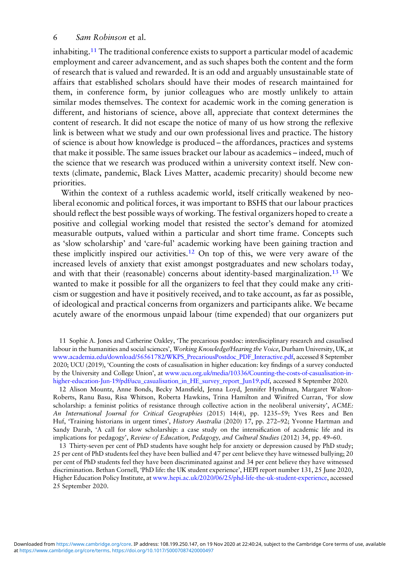#### 6 Sam Robinson et al.

inhabiting.<sup>11</sup> The traditional conference exists to support a particular model of academic employment and career advancement, and as such shapes both the content and the form of research that is valued and rewarded. It is an odd and arguably unsustainable state of affairs that established scholars should have their modes of research maintained for them, in conference form, by junior colleagues who are mostly unlikely to attain similar modes themselves. The context for academic work in the coming generation is different, and historians of science, above all, appreciate that context determines the content of research. It did not escape the notice of many of us how strong the reflexive link is between what we study and our own professional lives and practice. The history of science is about how knowledge is produced – the affordances, practices and systems that make it possible. The same issues bracket our labour as academics – indeed, much of the science that we research was produced within a university context itself. New contexts (climate, pandemic, Black Lives Matter, academic precarity) should become new priorities.

Within the context of a ruthless academic world, itself critically weakened by neoliberal economic and political forces, it was important to BSHS that our labour practices should reflect the best possible ways of working. The festival organizers hoped to create a positive and collegial working model that resisted the sector's demand for atomized measurable outputs, valued within a particular and short time frame. Concepts such as 'slow scholarship' and 'care-ful' academic working have been gaining traction and these implicitly inspired our activities.<sup>12</sup> On top of this, we were very aware of the increased levels of anxiety that exist amongst postgraduates and new scholars today, and with that their (reasonable) concerns about identity-based marginalization.<sup>13</sup> We wanted to make it possible for all the organizers to feel that they could make any criticism or suggestion and have it positively received, and to take account, as far as possible, of ideological and practical concerns from organizers and participants alike. We became acutely aware of the enormous unpaid labour (time expended) that our organizers put

11 Sophie A. Jones and Catherine Oakley, 'The precarious postdoc: interdisciplinary research and casualised labour in the humanities and social sciences', Working Knowledge/Hearing the Voice, Durham University, UK, at [www.academia.edu/download/56561782/WKPS\\_PrecariousPostdoc\\_PDF\\_Interactive.pdf](https://www.academia.edu/download/56561782/WKPS_PrecariousPostdoc_PDF_Interactive.pdf), accessed 8 September 2020; UCU (2019), 'Counting the costs of casualisation in higher education: key findings of a survey conducted by the University and College Union', at [www.ucu.org.uk/media/10336/Counting-the-costs-of-casualisation-in](http://www.ucu.org.uk/media/10336/Counting-the-costs-of-casualisation-in-higher-education-Jun-19/pdf/ucu_casualisation_in_HE_survey_report_Jun19.pdf)[higher-education-Jun-19/pdf/ucu\\_casualisation\\_in\\_HE\\_survey\\_report\\_Jun19.pdf](http://www.ucu.org.uk/media/10336/Counting-the-costs-of-casualisation-in-higher-education-Jun-19/pdf/ucu_casualisation_in_HE_survey_report_Jun19.pdf), accessed 8 September 2020.

12 Alison Mountz, Anne Bonds, Becky Mansfield, Jenna Loyd, Jennifer Hyndman, Margaret Walton-Roberts, Ranu Basu, Risa Whitson, Roberta Hawkins, Trina Hamilton and Winifred Curran, 'For slow scholarship: a feminist politics of resistance through collective action in the neoliberal university', ACME: An International Journal for Critical Geographies (2015) 14(4), pp. 1235–59; Yves Rees and Ben Huf, 'Training historians in urgent times', History Australia (2020) 17, pp. 272-92; Yvonne Hartman and Sandy Darab, 'A call for slow scholarship: a case study on the intensification of academic life and its implications for pedagogy', Review of Education, Pedagogy, and Cultural Studies (2012) 34, pp. 49–60.

13 Thirty-seven per cent of PhD students have sought help for anxiety or depression caused by PhD study; 25 per cent of PhD students feel they have been bullied and 47 per cent believe they have witnessed bullying; 20 per cent of PhD students feel they have been discriminated against and 34 per cent believe they have witnessed discrimination. Bethan Cornell, 'PhD life: the UK student experience', HEPI report number 131, 25 June 2020, Higher Education Policy Institute, at [www.hepi.ac.uk/2020/06/25/phd-life-the-uk-student-experience](https://www.hepi.ac.uk/2020/06/25/phd-life-the-uk-student-experience), accessed 25 September 2020.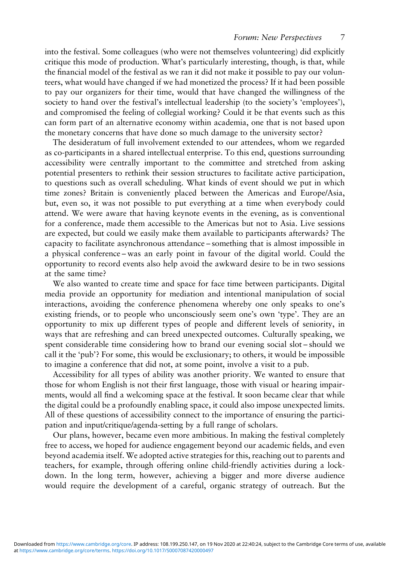into the festival. Some colleagues (who were not themselves volunteering) did explicitly critique this mode of production. What's particularly interesting, though, is that, while the financial model of the festival as we ran it did not make it possible to pay our volunteers, what would have changed if we had monetized the process? If it had been possible to pay our organizers for their time, would that have changed the willingness of the society to hand over the festival's intellectual leadership (to the society's 'employees'), and compromised the feeling of collegial working? Could it be that events such as this can form part of an alternative economy within academia, one that is not based upon the monetary concerns that have done so much damage to the university sector?

The desideratum of full involvement extended to our attendees, whom we regarded as co-participants in a shared intellectual enterprise. To this end, questions surrounding accessibility were centrally important to the committee and stretched from asking potential presenters to rethink their session structures to facilitate active participation, to questions such as overall scheduling. What kinds of event should we put in which time zones? Britain is conveniently placed between the Americas and Europe/Asia, but, even so, it was not possible to put everything at a time when everybody could attend. We were aware that having keynote events in the evening, as is conventional for a conference, made them accessible to the Americas but not to Asia. Live sessions are expected, but could we easily make them available to participants afterwards? The capacity to facilitate asynchronous attendance – something that is almost impossible in a physical conference – was an early point in favour of the digital world. Could the opportunity to record events also help avoid the awkward desire to be in two sessions at the same time?

We also wanted to create time and space for face time between participants. Digital media provide an opportunity for mediation and intentional manipulation of social interactions, avoiding the conference phenomena whereby one only speaks to one's existing friends, or to people who unconsciously seem one's own 'type'. They are an opportunity to mix up different types of people and different levels of seniority, in ways that are refreshing and can breed unexpected outcomes. Culturally speaking, we spent considerable time considering how to brand our evening social slot – should we call it the 'pub'? For some, this would be exclusionary; to others, it would be impossible to imagine a conference that did not, at some point, involve a visit to a pub.

Accessibility for all types of ability was another priority. We wanted to ensure that those for whom English is not their first language, those with visual or hearing impairments, would all find a welcoming space at the festival. It soon became clear that while the digital could be a profoundly enabling space, it could also impose unexpected limits. All of these questions of accessibility connect to the importance of ensuring the participation and input/critique/agenda-setting by a full range of scholars.

Our plans, however, became even more ambitious. In making the festival completely free to access, we hoped for audience engagement beyond our academic fields, and even beyond academia itself. We adopted active strategies for this, reaching out to parents and teachers, for example, through offering online child-friendly activities during a lockdown. In the long term, however, achieving a bigger and more diverse audience would require the development of a careful, organic strategy of outreach. But the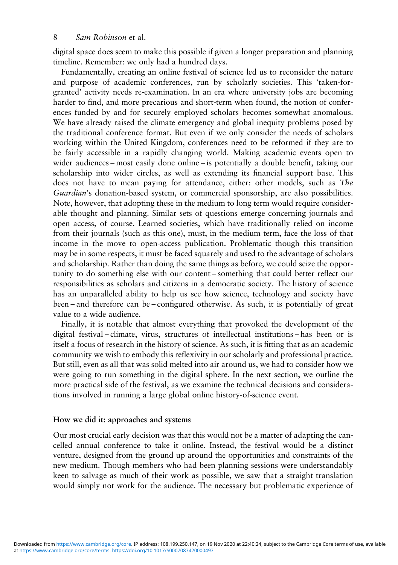digital space does seem to make this possible if given a longer preparation and planning timeline. Remember: we only had a hundred days.

Fundamentally, creating an online festival of science led us to reconsider the nature and purpose of academic conferences, run by scholarly societies. This 'taken-forgranted' activity needs re-examination. In an era where university jobs are becoming harder to find, and more precarious and short-term when found, the notion of conferences funded by and for securely employed scholars becomes somewhat anomalous. We have already raised the climate emergency and global inequity problems posed by the traditional conference format. But even if we only consider the needs of scholars working within the United Kingdom, conferences need to be reformed if they are to be fairly accessible in a rapidly changing world. Making academic events open to wider audiences – most easily done online – is potentially a double benefit, taking our scholarship into wider circles, as well as extending its financial support base. This does not have to mean paying for attendance, either: other models, such as *The* Guardian's donation-based system, or commercial sponsorship, are also possibilities. Note, however, that adopting these in the medium to long term would require considerable thought and planning. Similar sets of questions emerge concerning journals and open access, of course. Learned societies, which have traditionally relied on income from their journals (such as this one), must, in the medium term, face the loss of that income in the move to open-access publication. Problematic though this transition may be in some respects, it must be faced squarely and used to the advantage of scholars and scholarship. Rather than doing the same things as before, we could seize the opportunity to do something else with our content – something that could better reflect our responsibilities as scholars and citizens in a democratic society. The history of science has an unparalleled ability to help us see how science, technology and society have been – and therefore can be – configured otherwise. As such, it is potentially of great value to a wide audience.

Finally, it is notable that almost everything that provoked the development of the digital festival – climate, virus, structures of intellectual institutions – has been or is itself a focus of research in the history of science. As such, it is fitting that as an academic community we wish to embody this reflexivity in our scholarly and professional practice. But still, even as all that was solid melted into air around us, we had to consider how we were going to run something in the digital sphere. In the next section, we outline the more practical side of the festival, as we examine the technical decisions and considerations involved in running a large global online history-of-science event.

## How we did it: approaches and systems

Our most crucial early decision was that this would not be a matter of adapting the cancelled annual conference to take it online. Instead, the festival would be a distinct venture, designed from the ground up around the opportunities and constraints of the new medium. Though members who had been planning sessions were understandably keen to salvage as much of their work as possible, we saw that a straight translation would simply not work for the audience. The necessary but problematic experience of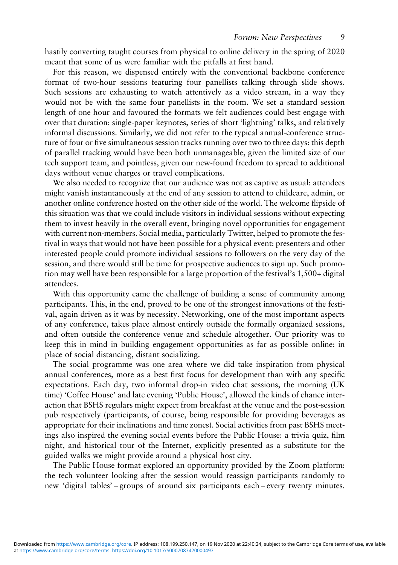hastily converting taught courses from physical to online delivery in the spring of 2020 meant that some of us were familiar with the pitfalls at first hand.

For this reason, we dispensed entirely with the conventional backbone conference format of two-hour sessions featuring four panellists talking through slide shows. Such sessions are exhausting to watch attentively as a video stream, in a way they would not be with the same four panellists in the room. We set a standard session length of one hour and favoured the formats we felt audiences could best engage with over that duration: single-paper keynotes, series of short 'lightning' talks, and relatively informal discussions. Similarly, we did not refer to the typical annual-conference structure of four or five simultaneous session tracks running over two to three days: this depth of parallel tracking would have been both unmanageable, given the limited size of our tech support team, and pointless, given our new-found freedom to spread to additional days without venue charges or travel complications.

We also needed to recognize that our audience was not as captive as usual: attendees might vanish instantaneously at the end of any session to attend to childcare, admin, or another online conference hosted on the other side of the world. The welcome flipside of this situation was that we could include visitors in individual sessions without expecting them to invest heavily in the overall event, bringing novel opportunities for engagement with current non-members. Social media, particularly Twitter, helped to promote the festival in ways that would not have been possible for a physical event: presenters and other interested people could promote individual sessions to followers on the very day of the session, and there would still be time for prospective audiences to sign up. Such promotion may well have been responsible for a large proportion of the festival's 1,500+ digital attendees.

With this opportunity came the challenge of building a sense of community among participants. This, in the end, proved to be one of the strongest innovations of the festival, again driven as it was by necessity. Networking, one of the most important aspects of any conference, takes place almost entirely outside the formally organized sessions, and often outside the conference venue and schedule altogether. Our priority was to keep this in mind in building engagement opportunities as far as possible online: in place of social distancing, distant socializing.

The social programme was one area where we did take inspiration from physical annual conferences, more as a best first focus for development than with any specific expectations. Each day, two informal drop-in video chat sessions, the morning (UK time) 'Coffee House' and late evening 'Public House', allowed the kinds of chance interaction that BSHS regulars might expect from breakfast at the venue and the post-session pub respectively (participants, of course, being responsible for providing beverages as appropriate for their inclinations and time zones). Social activities from past BSHS meetings also inspired the evening social events before the Public House: a trivia quiz, film night, and historical tour of the Internet, explicitly presented as a substitute for the guided walks we might provide around a physical host city.

The Public House format explored an opportunity provided by the Zoom platform: the tech volunteer looking after the session would reassign participants randomly to new 'digital tables' – groups of around six participants each – every twenty minutes.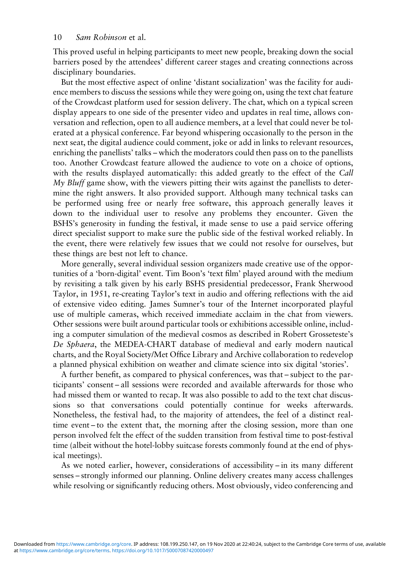This proved useful in helping participants to meet new people, breaking down the social barriers posed by the attendees' different career stages and creating connections across disciplinary boundaries.

But the most effective aspect of online 'distant socialization' was the facility for audience members to discuss the sessions while they were going on, using the text chat feature of the Crowdcast platform used for session delivery. The chat, which on a typical screen display appears to one side of the presenter video and updates in real time, allows conversation and reflection, open to all audience members, at a level that could never be tolerated at a physical conference. Far beyond whispering occasionally to the person in the next seat, the digital audience could comment, joke or add in links to relevant resources, enriching the panellists' talks – which the moderators could then pass on to the panellists too. Another Crowdcast feature allowed the audience to vote on a choice of options, with the results displayed automatically: this added greatly to the effect of the Call  $My Bluff$  game show, with the viewers pitting their wits against the panellists to determine the right answers. It also provided support. Although many technical tasks can be performed using free or nearly free software, this approach generally leaves it down to the individual user to resolve any problems they encounter. Given the BSHS's generosity in funding the festival, it made sense to use a paid service offering direct specialist support to make sure the public side of the festival worked reliably. In the event, there were relatively few issues that we could not resolve for ourselves, but these things are best not left to chance.

More generally, several individual session organizers made creative use of the opportunities of a 'born-digital' event. Tim Boon's 'text film' played around with the medium by revisiting a talk given by his early BSHS presidential predecessor, Frank Sherwood Taylor, in 1951, re-creating Taylor's text in audio and offering reflections with the aid of extensive video editing. James Sumner's tour of the Internet incorporated playful use of multiple cameras, which received immediate acclaim in the chat from viewers. Other sessions were built around particular tools or exhibitions accessible online, including a computer simulation of the medieval cosmos as described in Robert Grosseteste's De Sphaera, the MEDEA-CHART database of medieval and early modern nautical charts, and the Royal Society/Met Office Library and Archive collaboration to redevelop a planned physical exhibition on weather and climate science into six digital 'stories'.

A further benefit, as compared to physical conferences, was that – subject to the participants' consent – all sessions were recorded and available afterwards for those who had missed them or wanted to recap. It was also possible to add to the text chat discussions so that conversations could potentially continue for weeks afterwards. Nonetheless, the festival had, to the majority of attendees, the feel of a distinct realtime event – to the extent that, the morning after the closing session, more than one person involved felt the effect of the sudden transition from festival time to post-festival time (albeit without the hotel-lobby suitcase forests commonly found at the end of physical meetings).

As we noted earlier, however, considerations of accessibility – in its many different senses – strongly informed our planning. Online delivery creates many access challenges while resolving or significantly reducing others. Most obviously, video conferencing and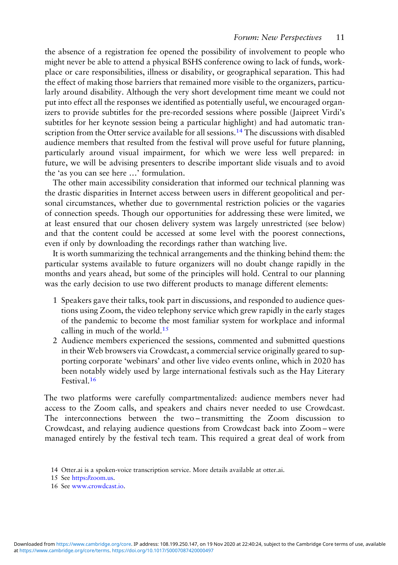the absence of a registration fee opened the possibility of involvement to people who might never be able to attend a physical BSHS conference owing to lack of funds, workplace or care responsibilities, illness or disability, or geographical separation. This had the effect of making those barriers that remained more visible to the organizers, particularly around disability. Although the very short development time meant we could not put into effect all the responses we identified as potentially useful, we encouraged organizers to provide subtitles for the pre-recorded sessions where possible (Jaipreet Virdi's subtitles for her keynote session being a particular highlight) and had automatic transcription from the Otter service available for all sessions.<sup>14</sup> The discussions with disabled audience members that resulted from the festival will prove useful for future planning, particularly around visual impairment, for which we were less well prepared: in future, we will be advising presenters to describe important slide visuals and to avoid the 'as you can see here …' formulation.

The other main accessibility consideration that informed our technical planning was the drastic disparities in Internet access between users in different geopolitical and personal circumstances, whether due to governmental restriction policies or the vagaries of connection speeds. Though our opportunities for addressing these were limited, we at least ensured that our chosen delivery system was largely unrestricted (see below) and that the content could be accessed at some level with the poorest connections, even if only by downloading the recordings rather than watching live.

It is worth summarizing the technical arrangements and the thinking behind them: the particular systems available to future organizers will no doubt change rapidly in the months and years ahead, but some of the principles will hold. Central to our planning was the early decision to use two different products to manage different elements:

- 1 Speakers gave their talks, took part in discussions, and responded to audience questions using Zoom, the video telephony service which grew rapidly in the early stages of the pandemic to become the most familiar system for workplace and informal calling in much of the world.<sup>15</sup>
- 2 Audience members experienced the sessions, commented and submitted questions in their Web browsers via Crowdcast, a commercial service originally geared to supporting corporate 'webinars' and other live video events online, which in 2020 has been notably widely used by large international festivals such as the Hay Literary Festival.16

The two platforms were carefully compartmentalized: audience members never had access to the Zoom calls, and speakers and chairs never needed to use Crowdcast. The interconnections between the two – transmitting the Zoom discussion to Crowdcast, and relaying audience questions from Crowdcast back into Zoom – were managed entirely by the festival tech team. This required a great deal of work from

<sup>14</sup> Otter.ai is a spoken-voice transcription service. More details available at otter.ai.

<sup>15</sup> See <https://zoom.us>.

<sup>16</sup> See [www.crowdcast.io](https://www.crowdcast.io).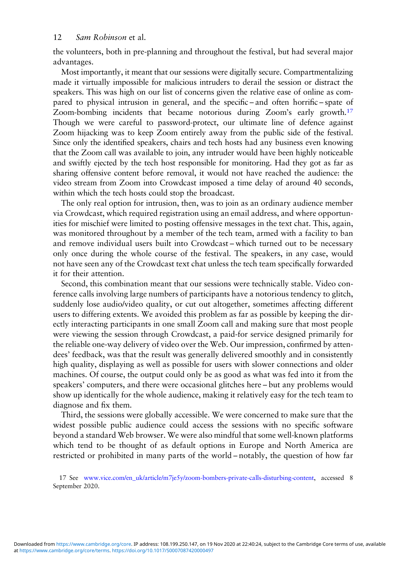the volunteers, both in pre-planning and throughout the festival, but had several major advantages.

Most importantly, it meant that our sessions were digitally secure. Compartmentalizing made it virtually impossible for malicious intruders to derail the session or distract the speakers. This was high on our list of concerns given the relative ease of online as compared to physical intrusion in general, and the specific – and often horrific – spate of Zoom-bombing incidents that became notorious during Zoom's early growth.17 Though we were careful to password-protect, our ultimate line of defence against Zoom hijacking was to keep Zoom entirely away from the public side of the festival. Since only the identified speakers, chairs and tech hosts had any business even knowing that the Zoom call was available to join, any intruder would have been highly noticeable and swiftly ejected by the tech host responsible for monitoring. Had they got as far as sharing offensive content before removal, it would not have reached the audience: the video stream from Zoom into Crowdcast imposed a time delay of around 40 seconds, within which the tech hosts could stop the broadcast.

The only real option for intrusion, then, was to join as an ordinary audience member via Crowdcast, which required registration using an email address, and where opportunities for mischief were limited to posting offensive messages in the text chat. This, again, was monitored throughout by a member of the tech team, armed with a facility to ban and remove individual users built into Crowdcast – which turned out to be necessary only once during the whole course of the festival. The speakers, in any case, would not have seen any of the Crowdcast text chat unless the tech team specifically forwarded it for their attention.

Second, this combination meant that our sessions were technically stable. Video conference calls involving large numbers of participants have a notorious tendency to glitch, suddenly lose audio/video quality, or cut out altogether, sometimes affecting different users to differing extents. We avoided this problem as far as possible by keeping the directly interacting participants in one small Zoom call and making sure that most people were viewing the session through Crowdcast, a paid-for service designed primarily for the reliable one-way delivery of video over the Web. Our impression, confirmed by attendees' feedback, was that the result was generally delivered smoothly and in consistently high quality, displaying as well as possible for users with slower connections and older machines. Of course, the output could only be as good as what was fed into it from the speakers' computers, and there were occasional glitches here – but any problems would show up identically for the whole audience, making it relatively easy for the tech team to diagnose and fix them.

Third, the sessions were globally accessible. We were concerned to make sure that the widest possible public audience could access the sessions with no specific software beyond a standard Web browser. We were also mindful that some well-known platforms which tend to be thought of as default options in Europe and North America are restricted or prohibited in many parts of the world – notably, the question of how far

<sup>17</sup> See [www.vice.com/en\\_uk/article/m7je5y/zoom-bombers-private-calls-disturbing-content](https://www.vice.com/en_uk/article/m7je5y/zoom-bombers-private-calls-disturbing-content), accessed 8 September 2020.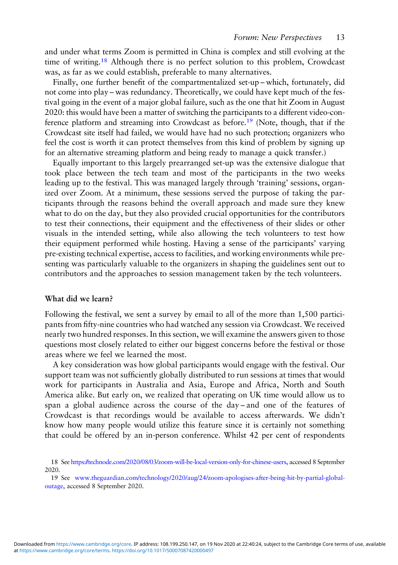and under what terms Zoom is permitted in China is complex and still evolving at the time of writing.<sup>18</sup> Although there is no perfect solution to this problem, Crowdcast was, as far as we could establish, preferable to many alternatives.

Finally, one further benefit of the compartmentalized set-up – which, fortunately, did not come into play – was redundancy. Theoretically, we could have kept much of the festival going in the event of a major global failure, such as the one that hit Zoom in August 2020: this would have been a matter of switching the participants to a different video-conference platform and streaming into Crowdcast as before.<sup>19</sup> (Note, though, that if the Crowdcast site itself had failed, we would have had no such protection; organizers who feel the cost is worth it can protect themselves from this kind of problem by signing up for an alternative streaming platform and being ready to manage a quick transfer.)

Equally important to this largely prearranged set-up was the extensive dialogue that took place between the tech team and most of the participants in the two weeks leading up to the festival. This was managed largely through 'training' sessions, organized over Zoom. At a minimum, these sessions served the purpose of taking the participants through the reasons behind the overall approach and made sure they knew what to do on the day, but they also provided crucial opportunities for the contributors to test their connections, their equipment and the effectiveness of their slides or other visuals in the intended setting, while also allowing the tech volunteers to test how their equipment performed while hosting. Having a sense of the participants' varying pre-existing technical expertise, access to facilities, and working environments while presenting was particularly valuable to the organizers in shaping the guidelines sent out to contributors and the approaches to session management taken by the tech volunteers.

## What did we learn?

Following the festival, we sent a survey by email to all of the more than 1,500 participants from fifty-nine countries who had watched any session via Crowdcast. We received nearly two hundred responses. In this section, we will examine the answers given to those questions most closely related to either our biggest concerns before the festival or those areas where we feel we learned the most.

A key consideration was how global participants would engage with the festival. Our support team was not sufficiently globally distributed to run sessions at times that would work for participants in Australia and Asia, Europe and Africa, North and South America alike. But early on, we realized that operating on UK time would allow us to span a global audience across the course of the day – and one of the features of Crowdcast is that recordings would be available to access afterwards. We didn't know how many people would utilize this feature since it is certainly not something that could be offered by an in-person conference. Whilst 42 per cent of respondents

<sup>18</sup> See [https://technode.com/2020/08/03/zoom-will-be-local-version-only-for-chinese-users,](https://technode.com/2020/08/03/zoom-will-be-local-version-only-for-chinese-users) accessed 8 September 2020.

<sup>19</sup> See [www.theguardian.com/technology/2020/aug/24/zoom-apologises-after-being-hit-by-partial-global](https://www.theguardian.com/technology/2020/aug/24/zoom-apologises-after-being-hit-by-partial-global-outage)[outage](https://www.theguardian.com/technology/2020/aug/24/zoom-apologises-after-being-hit-by-partial-global-outage), accessed 8 September 2020.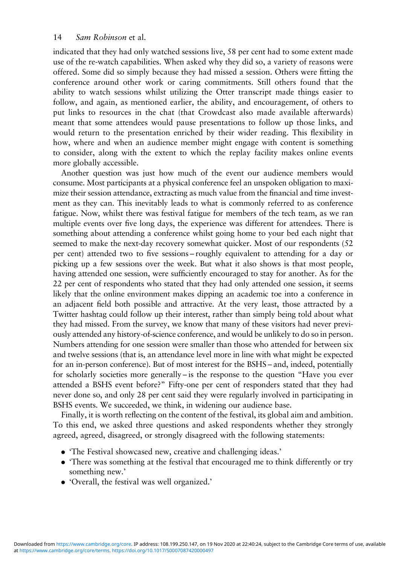indicated that they had only watched sessions live, 58 per cent had to some extent made use of the re-watch capabilities. When asked why they did so, a variety of reasons were offered. Some did so simply because they had missed a session. Others were fitting the conference around other work or caring commitments. Still others found that the ability to watch sessions whilst utilizing the Otter transcript made things easier to follow, and again, as mentioned earlier, the ability, and encouragement, of others to put links to resources in the chat (that Crowdcast also made available afterwards) meant that some attendees would pause presentations to follow up those links, and would return to the presentation enriched by their wider reading. This flexibility in how, where and when an audience member might engage with content is something to consider, along with the extent to which the replay facility makes online events more globally accessible.

Another question was just how much of the event our audience members would consume. Most participants at a physical conference feel an unspoken obligation to maximize their session attendance, extracting as much value from the financial and time investment as they can. This inevitably leads to what is commonly referred to as conference fatigue. Now, whilst there was festival fatigue for members of the tech team, as we ran multiple events over five long days, the experience was different for attendees. There is something about attending a conference whilst going home to your bed each night that seemed to make the next-day recovery somewhat quicker. Most of our respondents (52 per cent) attended two to five sessions – roughly equivalent to attending for a day or picking up a few sessions over the week. But what it also shows is that most people, having attended one session, were sufficiently encouraged to stay for another. As for the 22 per cent of respondents who stated that they had only attended one session, it seems likely that the online environment makes dipping an academic toe into a conference in an adjacent field both possible and attractive. At the very least, those attracted by a Twitter hashtag could follow up their interest, rather than simply being told about what they had missed. From the survey, we know that many of these visitors had never previously attended any history-of-science conference, and would be unlikely to do so in person. Numbers attending for one session were smaller than those who attended for between six and twelve sessions (that is, an attendance level more in line with what might be expected for an in-person conference). But of most interest for the BSHS – and, indeed, potentially for scholarly societies more generally – is the response to the question "Have you ever attended a BSHS event before?" Fifty-one per cent of responders stated that they had never done so, and only 28 per cent said they were regularly involved in participating in BSHS events. We succeeded, we think, in widening our audience base.

Finally, it is worth reflecting on the content of the festival, its global aim and ambition. To this end, we asked three questions and asked respondents whether they strongly agreed, agreed, disagreed, or strongly disagreed with the following statements:

- . 'The Festival showcased new, creative and challenging ideas.'
- . 'There was something at the festival that encouraged me to think differently or try something new.'
- . 'Overall, the festival was well organized.'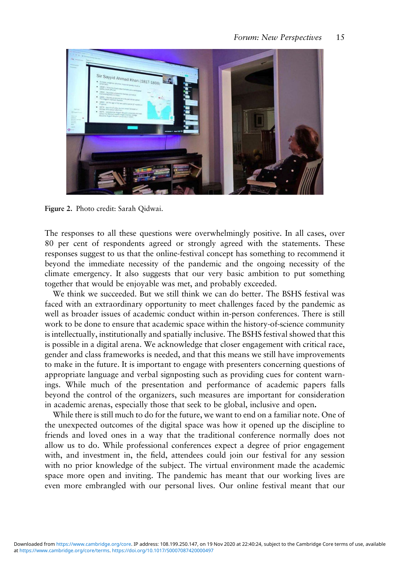<span id="page-14-0"></span>

Figure 2. Photo credit: Sarah Qidwai.

The responses to all these questions were overwhelmingly positive. In all cases, over 80 per cent of respondents agreed or strongly agreed with the statements. These responses suggest to us that the online-festival concept has something to recommend it beyond the immediate necessity of the pandemic and the ongoing necessity of the climate emergency. It also suggests that our very basic ambition to put something together that would be enjoyable was met, and probably exceeded.

We think we succeeded. But we still think we can do better. The BSHS festival was faced with an extraordinary opportunity to meet challenges faced by the pandemic as well as broader issues of academic conduct within in-person conferences. There is still work to be done to ensure that academic space within the history-of-science community is intellectually, institutionally and spatially inclusive. The BSHS festival showed that this is possible in a digital arena. We acknowledge that closer engagement with critical race, gender and class frameworks is needed, and that this means we still have improvements to make in the future. It is important to engage with presenters concerning questions of appropriate language and verbal signposting such as providing cues for content warnings. While much of the presentation and performance of academic papers falls beyond the control of the organizers, such measures are important for consideration in academic arenas, especially those that seek to be global, inclusive and open.

While there is still much to do for the future, we want to end on a familiar note. One of the unexpected outcomes of the digital space was how it opened up the discipline to friends and loved ones in a way that the traditional conference normally does not allow us to do. While professional conferences expect a degree of prior engagement with, and investment in, the field, attendees could join our festival for any session with no prior knowledge of the subject. The virtual environment made the academic space more open and inviting. The pandemic has meant that our working lives are even more embrangled with our personal lives. Our online festival meant that our